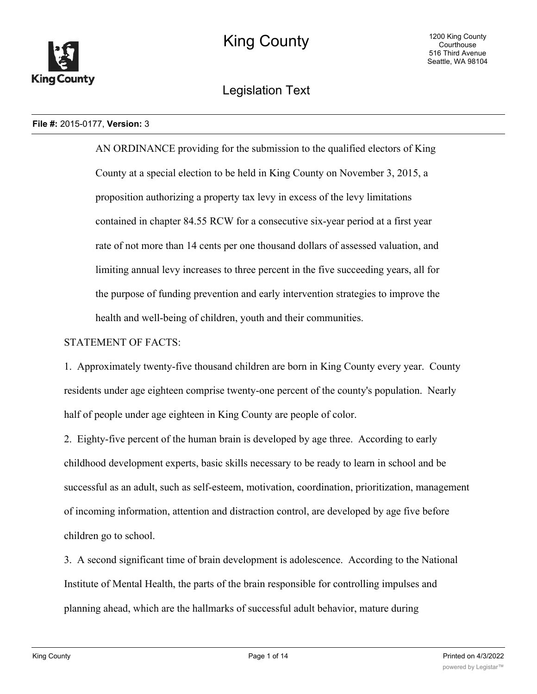

Legislation Text

#### **File #:** 2015-0177, **Version:** 3

AN ORDINANCE providing for the submission to the qualified electors of King County at a special election to be held in King County on November 3, 2015, a proposition authorizing a property tax levy in excess of the levy limitations contained in chapter 84.55 RCW for a consecutive six-year period at a first year rate of not more than 14 cents per one thousand dollars of assessed valuation, and limiting annual levy increases to three percent in the five succeeding years, all for the purpose of funding prevention and early intervention strategies to improve the health and well-being of children, youth and their communities.

## STATEMENT OF FACTS:

1. Approximately twenty-five thousand children are born in King County every year. County residents under age eighteen comprise twenty-one percent of the county's population. Nearly half of people under age eighteen in King County are people of color.

2. Eighty-five percent of the human brain is developed by age three. According to early childhood development experts, basic skills necessary to be ready to learn in school and be successful as an adult, such as self-esteem, motivation, coordination, prioritization, management of incoming information, attention and distraction control, are developed by age five before children go to school.

3. A second significant time of brain development is adolescence. According to the National Institute of Mental Health, the parts of the brain responsible for controlling impulses and planning ahead, which are the hallmarks of successful adult behavior, mature during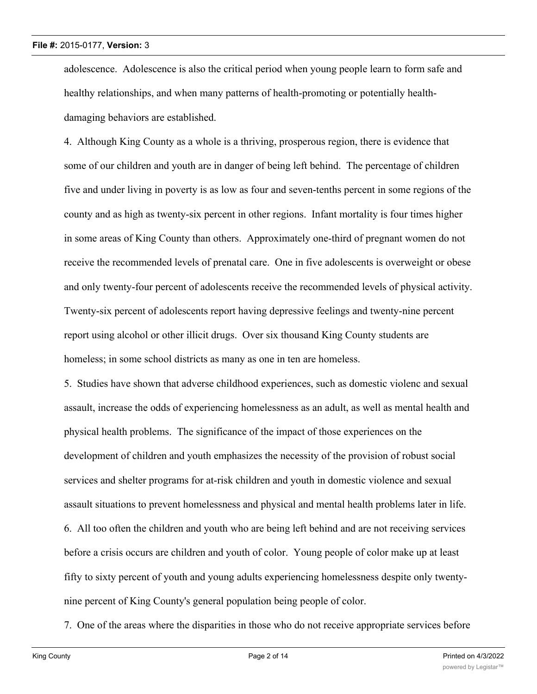adolescence. Adolescence is also the critical period when young people learn to form safe and healthy relationships, and when many patterns of health-promoting or potentially healthdamaging behaviors are established.

4. Although King County as a whole is a thriving, prosperous region, there is evidence that some of our children and youth are in danger of being left behind. The percentage of children five and under living in poverty is as low as four and seven-tenths percent in some regions of the county and as high as twenty-six percent in other regions. Infant mortality is four times higher in some areas of King County than others. Approximately one-third of pregnant women do not receive the recommended levels of prenatal care. One in five adolescents is overweight or obese and only twenty-four percent of adolescents receive the recommended levels of physical activity. Twenty-six percent of adolescents report having depressive feelings and twenty-nine percent report using alcohol or other illicit drugs. Over six thousand King County students are homeless; in some school districts as many as one in ten are homeless.

5. Studies have shown that adverse childhood experiences, such as domestic violenc and sexual assault, increase the odds of experiencing homelessness as an adult, as well as mental health and physical health problems. The significance of the impact of those experiences on the development of children and youth emphasizes the necessity of the provision of robust social services and shelter programs for at-risk children and youth in domestic violence and sexual assault situations to prevent homelessness and physical and mental health problems later in life. 6. All too often the children and youth who are being left behind and are not receiving services before a crisis occurs are children and youth of color. Young people of color make up at least fifty to sixty percent of youth and young adults experiencing homelessness despite only twentynine percent of King County's general population being people of color.

7. One of the areas where the disparities in those who do not receive appropriate services before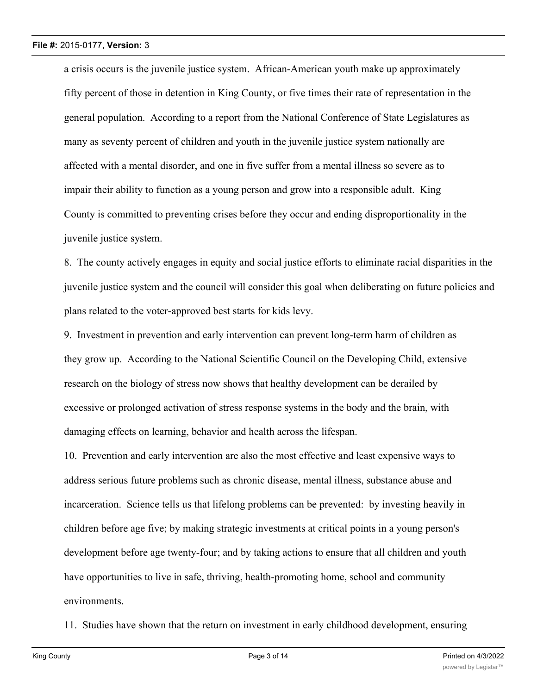a crisis occurs is the juvenile justice system. African-American youth make up approximately fifty percent of those in detention in King County, or five times their rate of representation in the general population. According to a report from the National Conference of State Legislatures as many as seventy percent of children and youth in the juvenile justice system nationally are affected with a mental disorder, and one in five suffer from a mental illness so severe as to impair their ability to function as a young person and grow into a responsible adult. King County is committed to preventing crises before they occur and ending disproportionality in the juvenile justice system.

8. The county actively engages in equity and social justice efforts to eliminate racial disparities in the juvenile justice system and the council will consider this goal when deliberating on future policies and plans related to the voter-approved best starts for kids levy.

9. Investment in prevention and early intervention can prevent long-term harm of children as they grow up. According to the National Scientific Council on the Developing Child, extensive research on the biology of stress now shows that healthy development can be derailed by excessive or prolonged activation of stress response systems in the body and the brain, with damaging effects on learning, behavior and health across the lifespan.

10. Prevention and early intervention are also the most effective and least expensive ways to address serious future problems such as chronic disease, mental illness, substance abuse and incarceration. Science tells us that lifelong problems can be prevented: by investing heavily in children before age five; by making strategic investments at critical points in a young person's development before age twenty-four; and by taking actions to ensure that all children and youth have opportunities to live in safe, thriving, health-promoting home, school and community environments.

11. Studies have shown that the return on investment in early childhood development, ensuring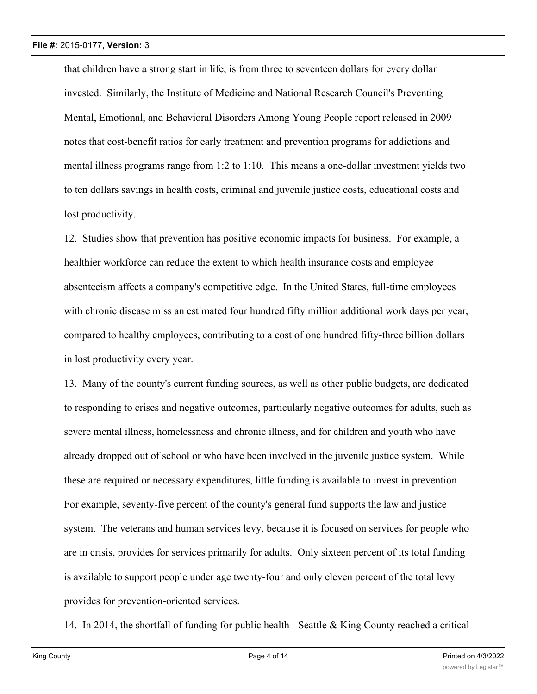that children have a strong start in life, is from three to seventeen dollars for every dollar invested. Similarly, the Institute of Medicine and National Research Council's Preventing Mental, Emotional, and Behavioral Disorders Among Young People report released in 2009 notes that cost-benefit ratios for early treatment and prevention programs for addictions and mental illness programs range from 1:2 to 1:10. This means a one-dollar investment yields two to ten dollars savings in health costs, criminal and juvenile justice costs, educational costs and lost productivity.

12. Studies show that prevention has positive economic impacts for business. For example, a healthier workforce can reduce the extent to which health insurance costs and employee absenteeism affects a company's competitive edge. In the United States, full-time employees with chronic disease miss an estimated four hundred fifty million additional work days per year, compared to healthy employees, contributing to a cost of one hundred fifty-three billion dollars in lost productivity every year.

13. Many of the county's current funding sources, as well as other public budgets, are dedicated to responding to crises and negative outcomes, particularly negative outcomes for adults, such as severe mental illness, homelessness and chronic illness, and for children and youth who have already dropped out of school or who have been involved in the juvenile justice system. While these are required or necessary expenditures, little funding is available to invest in prevention. For example, seventy-five percent of the county's general fund supports the law and justice system. The veterans and human services levy, because it is focused on services for people who are in crisis, provides for services primarily for adults. Only sixteen percent of its total funding is available to support people under age twenty-four and only eleven percent of the total levy provides for prevention-oriented services.

14. In 2014, the shortfall of funding for public health - Seattle & King County reached a critical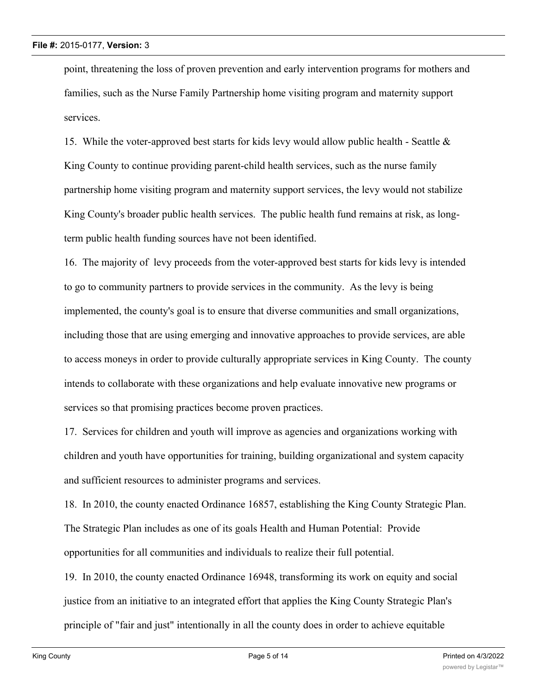point, threatening the loss of proven prevention and early intervention programs for mothers and families, such as the Nurse Family Partnership home visiting program and maternity support services.

15. While the voter-approved best starts for kids levy would allow public health - Seattle & King County to continue providing parent-child health services, such as the nurse family partnership home visiting program and maternity support services, the levy would not stabilize King County's broader public health services. The public health fund remains at risk, as longterm public health funding sources have not been identified.

16. The majority of levy proceeds from the voter-approved best starts for kids levy is intended to go to community partners to provide services in the community. As the levy is being implemented, the county's goal is to ensure that diverse communities and small organizations, including those that are using emerging and innovative approaches to provide services, are able to access moneys in order to provide culturally appropriate services in King County. The county intends to collaborate with these organizations and help evaluate innovative new programs or services so that promising practices become proven practices.

17. Services for children and youth will improve as agencies and organizations working with children and youth have opportunities for training, building organizational and system capacity and sufficient resources to administer programs and services.

18. In 2010, the county enacted Ordinance 16857, establishing the King County Strategic Plan. The Strategic Plan includes as one of its goals Health and Human Potential: Provide opportunities for all communities and individuals to realize their full potential.

19. In 2010, the county enacted Ordinance 16948, transforming its work on equity and social justice from an initiative to an integrated effort that applies the King County Strategic Plan's principle of "fair and just" intentionally in all the county does in order to achieve equitable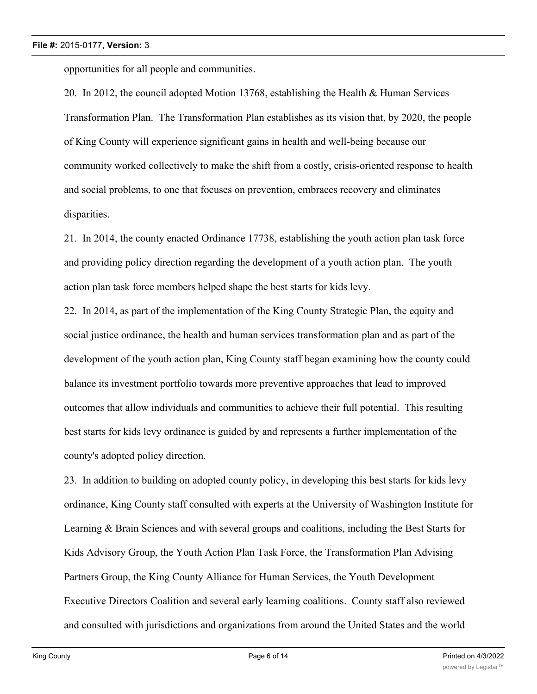opportunities for all people and communities.

20. In 2012, the council adopted Motion 13768, establishing the Health & Human Services Transformation Plan. The Transformation Plan establishes as its vision that, by 2020, the people of King County will experience significant gains in health and well-being because our community worked collectively to make the shift from a costly, crisis-oriented response to health and social problems, to one that focuses on prevention, embraces recovery and eliminates disparities.

21. In 2014, the county enacted Ordinance 17738, establishing the youth action plan task force and providing policy direction regarding the development of a youth action plan. The youth action plan task force members helped shape the best starts for kids levy.

22. In 2014, as part of the implementation of the King County Strategic Plan, the equity and social justice ordinance, the health and human services transformation plan and as part of the development of the youth action plan, King County staff began examining how the county could balance its investment portfolio towards more preventive approaches that lead to improved outcomes that allow individuals and communities to achieve their full potential. This resulting best starts for kids levy ordinance is guided by and represents a further implementation of the county's adopted policy direction.

23. In addition to building on adopted county policy, in developing this best starts for kids levy ordinance, King County staff consulted with experts at the University of Washington Institute for Learning & Brain Sciences and with several groups and coalitions, including the Best Starts for Kids Advisory Group, the Youth Action Plan Task Force, the Transformation Plan Advising Partners Group, the King County Alliance for Human Services, the Youth Development Executive Directors Coalition and several early learning coalitions. County staff also reviewed and consulted with jurisdictions and organizations from around the United States and the world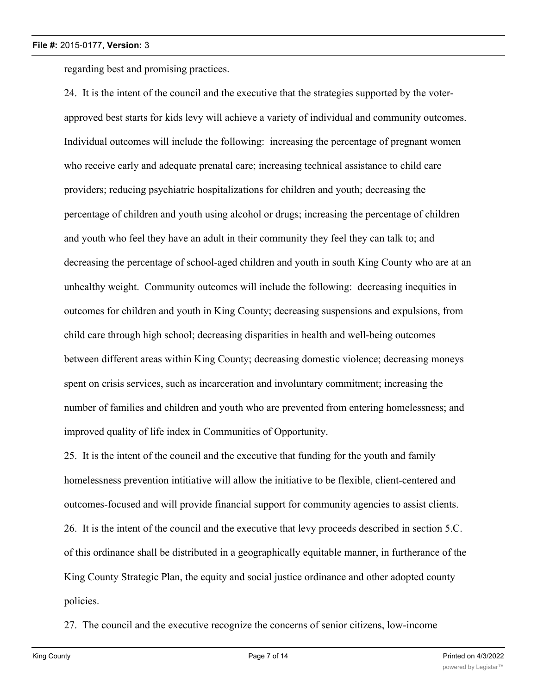#### **File #:** 2015-0177, **Version:** 3

regarding best and promising practices.

24. It is the intent of the council and the executive that the strategies supported by the voterapproved best starts for kids levy will achieve a variety of individual and community outcomes. Individual outcomes will include the following: increasing the percentage of pregnant women who receive early and adequate prenatal care; increasing technical assistance to child care providers; reducing psychiatric hospitalizations for children and youth; decreasing the percentage of children and youth using alcohol or drugs; increasing the percentage of children and youth who feel they have an adult in their community they feel they can talk to; and decreasing the percentage of school-aged children and youth in south King County who are at an unhealthy weight. Community outcomes will include the following: decreasing inequities in outcomes for children and youth in King County; decreasing suspensions and expulsions, from child care through high school; decreasing disparities in health and well-being outcomes between different areas within King County; decreasing domestic violence; decreasing moneys spent on crisis services, such as incarceration and involuntary commitment; increasing the number of families and children and youth who are prevented from entering homelessness; and improved quality of life index in Communities of Opportunity.

25. It is the intent of the council and the executive that funding for the youth and family homelessness prevention intitiative will allow the initiative to be flexible, client-centered and outcomes-focused and will provide financial support for community agencies to assist clients. 26. It is the intent of the council and the executive that levy proceeds described in section 5.C. of this ordinance shall be distributed in a geographically equitable manner, in furtherance of the King County Strategic Plan, the equity and social justice ordinance and other adopted county policies.

27. The council and the executive recognize the concerns of senior citizens, low-income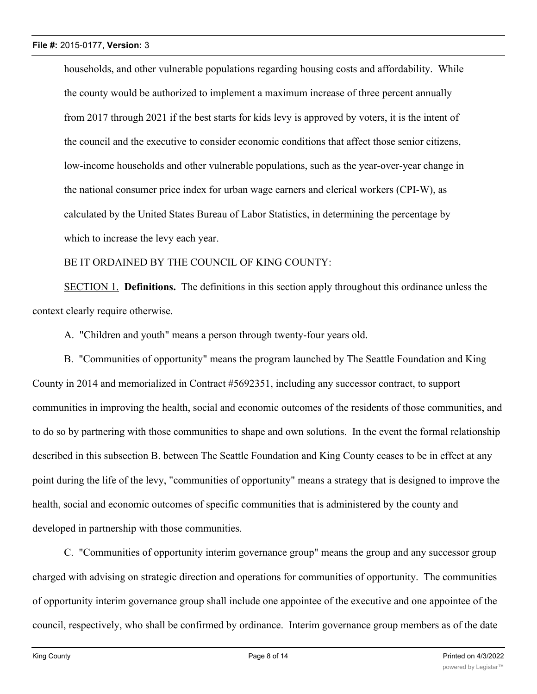households, and other vulnerable populations regarding housing costs and affordability. While the county would be authorized to implement a maximum increase of three percent annually from 2017 through 2021 if the best starts for kids levy is approved by voters, it is the intent of the council and the executive to consider economic conditions that affect those senior citizens, low-income households and other vulnerable populations, such as the year-over-year change in the national consumer price index for urban wage earners and clerical workers (CPI-W), as calculated by the United States Bureau of Labor Statistics, in determining the percentage by which to increase the levy each year.

# BE IT ORDAINED BY THE COUNCIL OF KING COUNTY:

SECTION 1. **Definitions.** The definitions in this section apply throughout this ordinance unless the context clearly require otherwise.

A. "Children and youth" means a person through twenty-four years old.

B. "Communities of opportunity" means the program launched by The Seattle Foundation and King County in 2014 and memorialized in Contract #5692351, including any successor contract, to support communities in improving the health, social and economic outcomes of the residents of those communities, and to do so by partnering with those communities to shape and own solutions. In the event the formal relationship described in this subsection B. between The Seattle Foundation and King County ceases to be in effect at any point during the life of the levy, "communities of opportunity" means a strategy that is designed to improve the health, social and economic outcomes of specific communities that is administered by the county and developed in partnership with those communities.

C. "Communities of opportunity interim governance group" means the group and any successor group charged with advising on strategic direction and operations for communities of opportunity. The communities of opportunity interim governance group shall include one appointee of the executive and one appointee of the council, respectively, who shall be confirmed by ordinance. Interim governance group members as of the date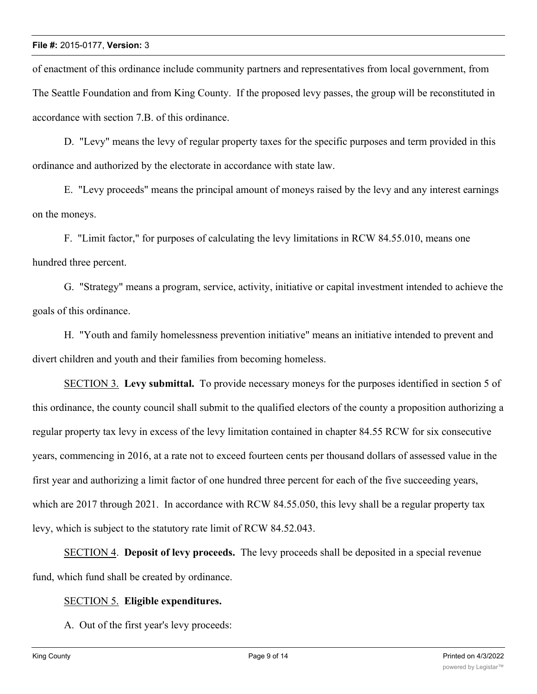of enactment of this ordinance include community partners and representatives from local government, from The Seattle Foundation and from King County. If the proposed levy passes, the group will be reconstituted in accordance with section 7.B. of this ordinance.

D. "Levy" means the levy of regular property taxes for the specific purposes and term provided in this ordinance and authorized by the electorate in accordance with state law.

E. "Levy proceeds" means the principal amount of moneys raised by the levy and any interest earnings on the moneys.

F. "Limit factor," for purposes of calculating the levy limitations in RCW 84.55.010, means one hundred three percent.

G. "Strategy" means a program, service, activity, initiative or capital investment intended to achieve the goals of this ordinance.

H. "Youth and family homelessness prevention initiative" means an initiative intended to prevent and divert children and youth and their families from becoming homeless.

SECTION 3. **Levy submittal.** To provide necessary moneys for the purposes identified in section 5 of this ordinance, the county council shall submit to the qualified electors of the county a proposition authorizing a regular property tax levy in excess of the levy limitation contained in chapter 84.55 RCW for six consecutive years, commencing in 2016, at a rate not to exceed fourteen cents per thousand dollars of assessed value in the first year and authorizing a limit factor of one hundred three percent for each of the five succeeding years, which are 2017 through 2021. In accordance with RCW 84.55.050, this levy shall be a regular property tax levy, which is subject to the statutory rate limit of RCW 84.52.043.

SECTION 4. **Deposit of levy proceeds.** The levy proceeds shall be deposited in a special revenue fund, which fund shall be created by ordinance.

## SECTION 5. **Eligible expenditures.**

A. Out of the first year's levy proceeds: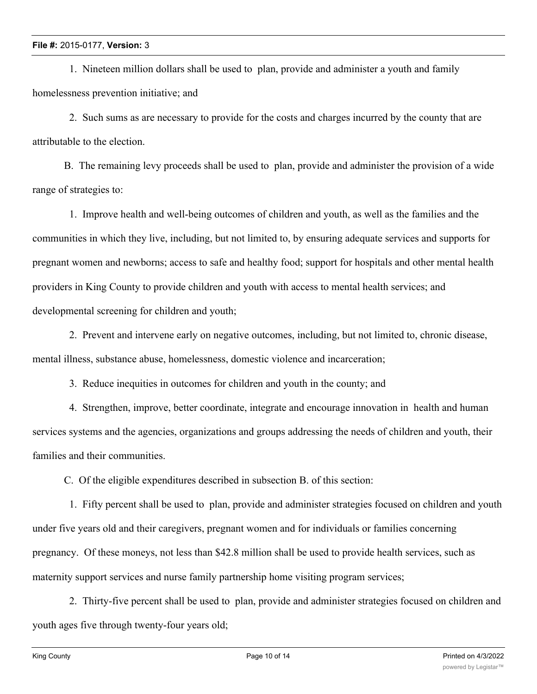### **File #:** 2015-0177, **Version:** 3

 1. Nineteen million dollars shall be used to plan, provide and administer a youth and family homelessness prevention initiative; and

 2. Such sums as are necessary to provide for the costs and charges incurred by the county that are attributable to the election.

B. The remaining levy proceeds shall be used to plan, provide and administer the provision of a wide range of strategies to:

 1. Improve health and well-being outcomes of children and youth, as well as the families and the communities in which they live, including, but not limited to, by ensuring adequate services and supports for pregnant women and newborns; access to safe and healthy food; support for hospitals and other mental health providers in King County to provide children and youth with access to mental health services; and developmental screening for children and youth;

 2. Prevent and intervene early on negative outcomes, including, but not limited to, chronic disease, mental illness, substance abuse, homelessness, domestic violence and incarceration;

3. Reduce inequities in outcomes for children and youth in the county; and

 4. Strengthen, improve, better coordinate, integrate and encourage innovation in health and human services systems and the agencies, organizations and groups addressing the needs of children and youth, their families and their communities.

C. Of the eligible expenditures described in subsection B. of this section:

 1. Fifty percent shall be used to plan, provide and administer strategies focused on children and youth under five years old and their caregivers, pregnant women and for individuals or families concerning pregnancy. Of these moneys, not less than \$42.8 million shall be used to provide health services, such as maternity support services and nurse family partnership home visiting program services;

 2. Thirty-five percent shall be used to plan, provide and administer strategies focused on children and youth ages five through twenty-four years old;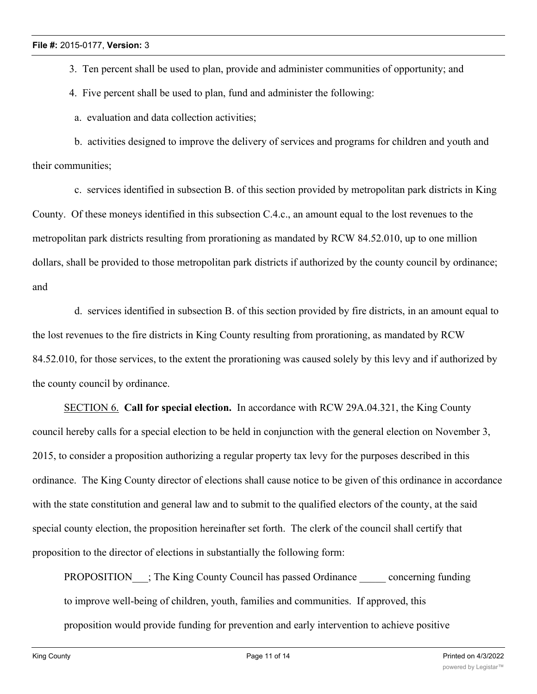3. Ten percent shall be used to plan, provide and administer communities of opportunity; and

4. Five percent shall be used to plan, fund and administer the following:

a. evaluation and data collection activities;

 b. activities designed to improve the delivery of services and programs for children and youth and their communities;

 c. services identified in subsection B. of this section provided by metropolitan park districts in King County. Of these moneys identified in this subsection C.4.c., an amount equal to the lost revenues to the metropolitan park districts resulting from prorationing as mandated by RCW 84.52.010, up to one million dollars, shall be provided to those metropolitan park districts if authorized by the county council by ordinance; and

 d. services identified in subsection B. of this section provided by fire districts, in an amount equal to the lost revenues to the fire districts in King County resulting from prorationing, as mandated by RCW 84.52.010, for those services, to the extent the prorationing was caused solely by this levy and if authorized by the county council by ordinance.

SECTION 6. **Call for special election.** In accordance with RCW 29A.04.321, the King County council hereby calls for a special election to be held in conjunction with the general election on November 3, 2015, to consider a proposition authorizing a regular property tax levy for the purposes described in this ordinance. The King County director of elections shall cause notice to be given of this ordinance in accordance with the state constitution and general law and to submit to the qualified electors of the county, at the said special county election, the proposition hereinafter set forth. The clerk of the council shall certify that proposition to the director of elections in substantially the following form:

PROPOSITION ; The King County Council has passed Ordinance concerning funding to improve well-being of children, youth, families and communities. If approved, this proposition would provide funding for prevention and early intervention to achieve positive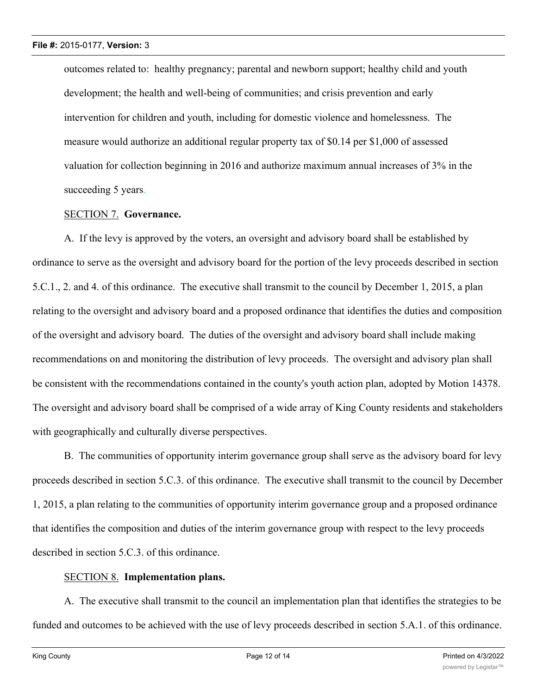outcomes related to: healthy pregnancy; parental and newborn support; healthy child and youth development; the health and well-being of communities; and crisis prevention and early intervention for children and youth, including for domestic violence and homelessness. The measure would authorize an additional regular property tax of \$0.14 per \$1,000 of assessed valuation for collection beginning in 2016 and authorize maximum annual increases of 3% in the succeeding 5 years.

### SECTION 7. **Governance.**

A. If the levy is approved by the voters, an oversight and advisory board shall be established by ordinance to serve as the oversight and advisory board for the portion of the levy proceeds described in section 5.C.1., 2. and 4. of this ordinance. The executive shall transmit to the council by December 1, 2015, a plan relating to the oversight and advisory board and a proposed ordinance that identifies the duties and composition of the oversight and advisory board. The duties of the oversight and advisory board shall include making recommendations on and monitoring the distribution of levy proceeds. The oversight and advisory plan shall be consistent with the recommendations contained in the county's youth action plan, adopted by Motion 14378. The oversight and advisory board shall be comprised of a wide array of King County residents and stakeholders with geographically and culturally diverse perspectives.

B. The communities of opportunity interim governance group shall serve as the advisory board for levy proceeds described in section 5.C.3. of this ordinance. The executive shall transmit to the council by December 1, 2015, a plan relating to the communities of opportunity interim governance group and a proposed ordinance that identifies the composition and duties of the interim governance group with respect to the levy proceeds described in section 5.C.3. of this ordinance.

## SECTION 8. **Implementation plans.**

A. The executive shall transmit to the council an implementation plan that identifies the strategies to be funded and outcomes to be achieved with the use of levy proceeds described in section 5.A.1. of this ordinance.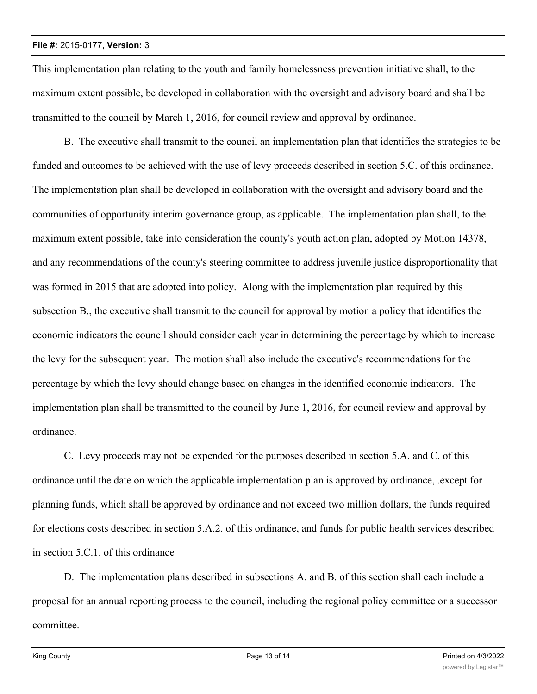#### **File #:** 2015-0177, **Version:** 3

This implementation plan relating to the youth and family homelessness prevention initiative shall, to the maximum extent possible, be developed in collaboration with the oversight and advisory board and shall be transmitted to the council by March 1, 2016, for council review and approval by ordinance.

B. The executive shall transmit to the council an implementation plan that identifies the strategies to be funded and outcomes to be achieved with the use of levy proceeds described in section 5.C. of this ordinance. The implementation plan shall be developed in collaboration with the oversight and advisory board and the communities of opportunity interim governance group, as applicable. The implementation plan shall, to the maximum extent possible, take into consideration the county's youth action plan, adopted by Motion 14378, and any recommendations of the county's steering committee to address juvenile justice disproportionality that was formed in 2015 that are adopted into policy. Along with the implementation plan required by this subsection B., the executive shall transmit to the council for approval by motion a policy that identifies the economic indicators the council should consider each year in determining the percentage by which to increase the levy for the subsequent year. The motion shall also include the executive's recommendations for the percentage by which the levy should change based on changes in the identified economic indicators. The implementation plan shall be transmitted to the council by June 1, 2016, for council review and approval by ordinance.

C. Levy proceeds may not be expended for the purposes described in section 5.A. and C. of this ordinance until the date on which the applicable implementation plan is approved by ordinance, .except for planning funds, which shall be approved by ordinance and not exceed two million dollars, the funds required for elections costs described in section 5.A.2. of this ordinance, and funds for public health services described in section 5.C.1. of this ordinance

D. The implementation plans described in subsections A. and B. of this section shall each include a proposal for an annual reporting process to the council, including the regional policy committee or a successor committee.